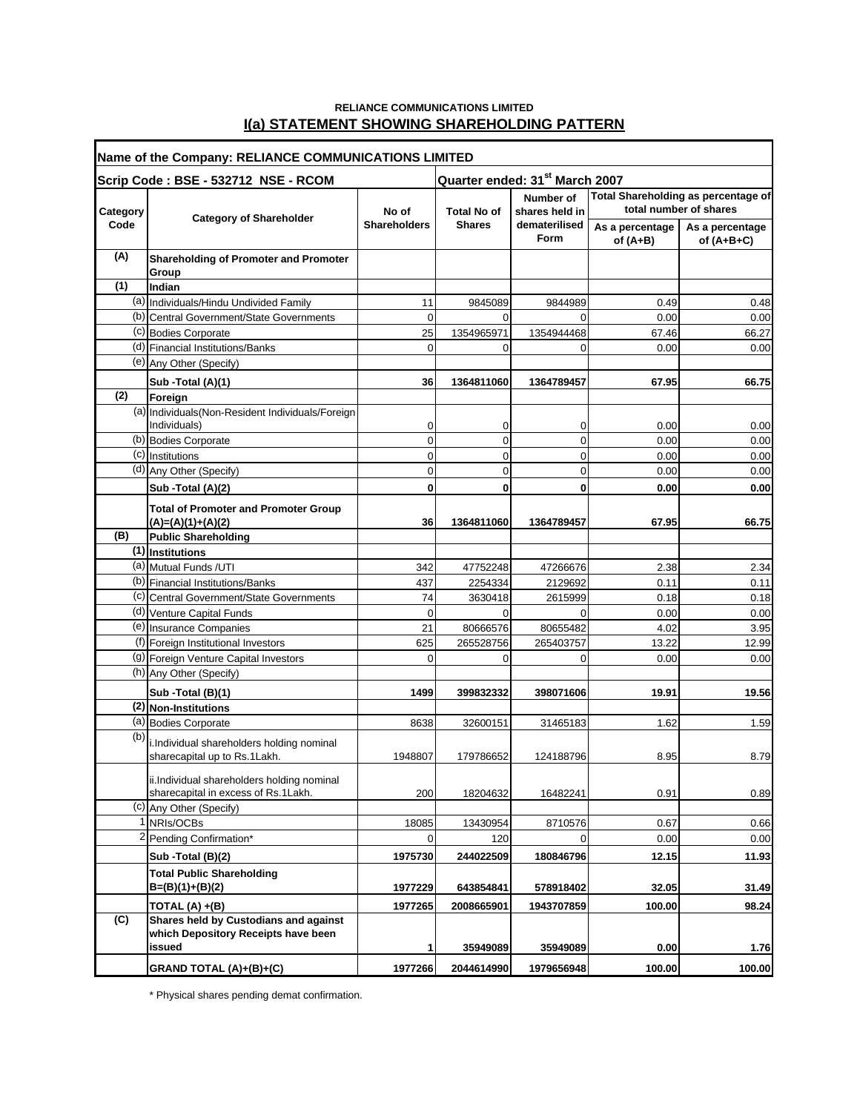### **RELIANCE COMMUNICATIONS LIMITED I(a) STATEMENT SHOWING SHAREHOLDING PATTERN**

| Name of the Company: RELIANCE COMMUNICATIONS LIMITED |                                                                                   |                              |                                            |                                                             |                                                               |                                 |
|------------------------------------------------------|-----------------------------------------------------------------------------------|------------------------------|--------------------------------------------|-------------------------------------------------------------|---------------------------------------------------------------|---------------------------------|
| Scrip Code: BSE - 532712 NSE - RCOM                  |                                                                                   |                              | Quarter ended: 31 <sup>st</sup> March 2007 |                                                             |                                                               |                                 |
| Category                                             | <b>Category of Shareholder</b>                                                    | No of<br><b>Shareholders</b> | <b>Total No of</b><br><b>Shares</b>        | Number of<br>shares held in<br>dematerilised<br><b>Form</b> | Total Shareholding as percentage of<br>total number of shares |                                 |
| Code                                                 |                                                                                   |                              |                                            |                                                             | As a percentage<br>of (A+B)                                   | As a percentage<br>of $(A+B+C)$ |
| (A)                                                  | <b>Shareholding of Promoter and Promoter</b><br>Group                             |                              |                                            |                                                             |                                                               |                                 |
| (1)                                                  | Indian                                                                            |                              |                                            |                                                             |                                                               |                                 |
|                                                      | (a) Individuals/Hindu Undivided Family                                            | 11                           | 9845089                                    | 9844989                                                     | 0.49                                                          | 0.48                            |
|                                                      | (b) Central Government/State Governments                                          | 0                            | 0                                          | $\Omega$                                                    | 0.00                                                          | 0.00                            |
|                                                      | (c) Bodies Corporate                                                              | 25                           | 1354965971                                 | 1354944468                                                  | 67.46                                                         | 66.27                           |
|                                                      | (d) Financial Institutions/Banks                                                  | $\Omega$                     | 0                                          | $\Omega$                                                    | 0.00                                                          | 0.00                            |
|                                                      | (e) Any Other (Specify)                                                           |                              |                                            |                                                             |                                                               |                                 |
|                                                      | Sub -Total (A)(1)                                                                 | 36                           | 1364811060                                 | 1364789457                                                  | 67.95                                                         | 66.75                           |
| (2)                                                  | Foreign                                                                           |                              |                                            |                                                             |                                                               |                                 |
|                                                      | (a) Individuals (Non-Resident Individuals/Foreign                                 |                              |                                            |                                                             |                                                               |                                 |
|                                                      | Individuals)                                                                      | 0                            | 0                                          | 0                                                           | 0.00                                                          | 0.00                            |
|                                                      | (b) Bodies Corporate                                                              | $\mathbf 0$                  | $\overline{0}$                             | 0                                                           | 0.00                                                          | 0.00                            |
|                                                      | (c) Institutions                                                                  | 0                            | 0                                          | 0                                                           | 0.00                                                          | 0.00                            |
|                                                      | (d) Any Other (Specify)                                                           | 0                            | 0                                          | 0                                                           | 0.00                                                          | 0.00                            |
|                                                      | Sub - Total (A)(2)                                                                | 0                            | 0                                          | 0                                                           | 0.00                                                          | 0.00                            |
|                                                      | <b>Total of Promoter and Promoter Group</b><br>$(A)=(A)(1)+(A)(2)$                | 36                           | 1364811060                                 | 1364789457                                                  | 67.95                                                         | 66.75                           |
| (B)                                                  | <b>Public Shareholding</b>                                                        |                              |                                            |                                                             |                                                               |                                 |
|                                                      | $(1)$ Institutions                                                                |                              |                                            |                                                             |                                                               |                                 |
|                                                      | (a) Mutual Funds / UTI                                                            | 342                          | 47752248                                   | 47266676                                                    | 2.38                                                          | 2.34                            |
|                                                      | (b) Financial Institutions/Banks                                                  | 437                          | 2254334                                    | 2129692                                                     | 0.11                                                          | 0.11                            |
|                                                      | (c) Central Government/State Governments                                          | 74                           | 3630418                                    | 2615999                                                     | 0.18                                                          | 0.18                            |
|                                                      | (d) Venture Capital Funds                                                         | 0                            | 0                                          | 0                                                           | 0.00                                                          | 0.00                            |
|                                                      | (e) Insurance Companies                                                           | 21                           | 80666576                                   | 80655482                                                    | 4.02                                                          | 3.95                            |
|                                                      | (f) Foreign Institutional Investors                                               | 625                          | 265528756                                  | 265403757                                                   | 13.22                                                         | 12.99                           |
|                                                      | (g) Foreign Venture Capital Investors                                             | 0                            | 0                                          | 0                                                           | 0.00                                                          | 0.00                            |
|                                                      | (h) Any Other (Specify)                                                           |                              |                                            |                                                             |                                                               |                                 |
|                                                      | Sub - Total (B)(1)                                                                | 1499                         | 399832332                                  | 398071606                                                   | 19.91                                                         | 19.56                           |
|                                                      | (2) Non-Institutions                                                              |                              |                                            |                                                             |                                                               |                                 |
|                                                      | (a) Bodies Corporate                                                              | 8638                         | 32600151                                   | 31465183                                                    | 1.62                                                          | 1.59                            |
| (b)                                                  | i.Individual shareholders holding nominal                                         |                              |                                            |                                                             |                                                               |                                 |
|                                                      | sharecapital up to Rs.1Lakh.                                                      | 1948807                      | 179786652                                  | 124188796                                                   | 8.95                                                          | 8.79                            |
|                                                      |                                                                                   |                              |                                            |                                                             |                                                               |                                 |
|                                                      | ii.Individual shareholders holding nominal<br>sharecapital in excess of Rs.1Lakh. | 200                          | 18204632                                   | 16482241                                                    | 0.91                                                          | 0.89                            |
|                                                      | (c) Any Other (Specify)                                                           |                              |                                            |                                                             |                                                               |                                 |
|                                                      | NRIs/OCBs                                                                         | 18085                        | 13430954                                   | 8710576                                                     | 0.67                                                          | 0.66                            |
|                                                      | <sup>2</sup> Pending Confirmation*                                                | 0                            | 120                                        | $\mathbf 0$                                                 | 0.00                                                          | 0.00                            |
|                                                      | Sub -Total (B)(2)                                                                 | 1975730                      | 244022509                                  | 180846796                                                   | 12.15                                                         | 11.93                           |
|                                                      |                                                                                   |                              |                                            |                                                             |                                                               |                                 |
|                                                      | <b>Total Public Shareholding</b><br>$B=(B)(1)+(B)(2)$                             | 1977229                      | 643854841                                  | 578918402                                                   | 32.05                                                         | 31.49                           |
|                                                      | TOTAL (A) +(B)                                                                    | 1977265                      | 2008665901                                 | 1943707859                                                  | 100.00                                                        | 98.24                           |
| (C)                                                  | Shares held by Custodians and against<br>which Depository Receipts have been      |                              |                                            |                                                             |                                                               |                                 |
|                                                      | issued                                                                            | 1                            | 35949089                                   | 35949089                                                    | 0.00                                                          | 1.76                            |
|                                                      | GRAND TOTAL (A)+(B)+(C)                                                           | 1977266                      | 2044614990                                 | 1979656948                                                  | 100.00                                                        | 100.00                          |

\* Physical shares pending demat confirmation.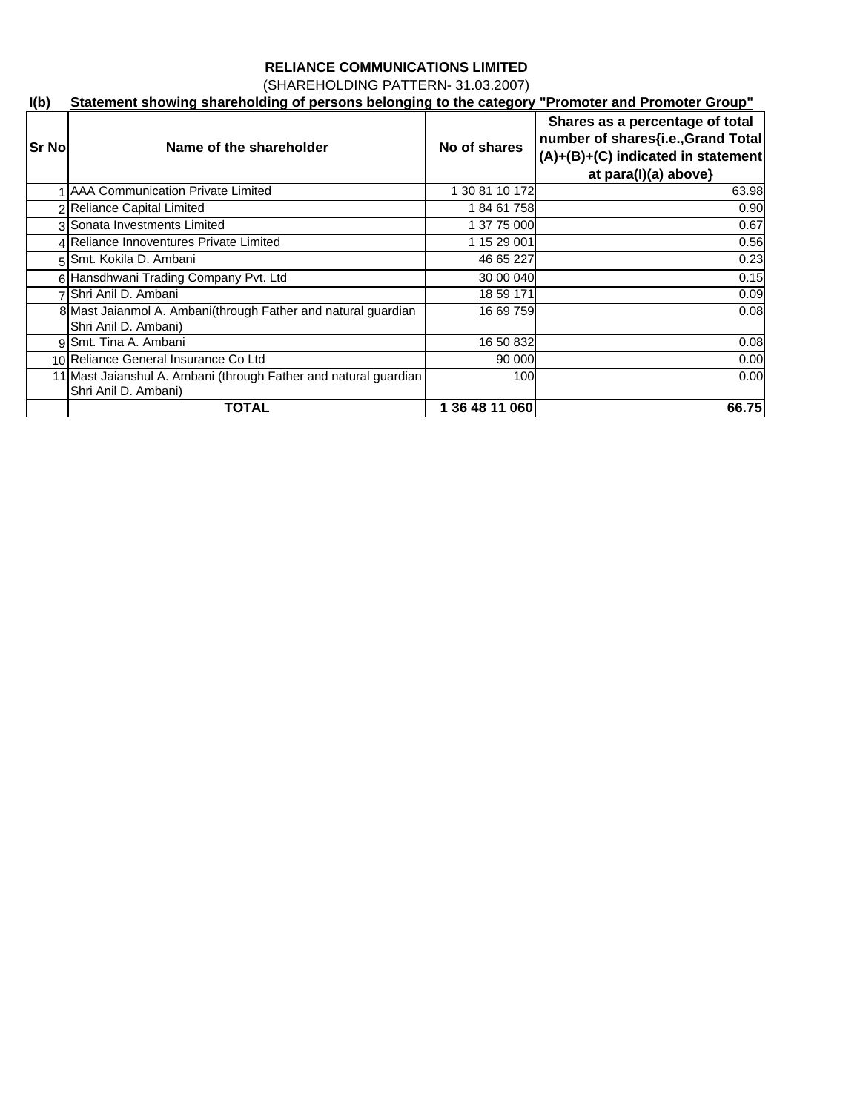(SHAREHOLDING PATTERN- 31.03.2007)

## **I(b) Statement showing shareholding of persons belonging to the category "Promoter and Promoter Group"**

| <b>Sr No</b> | Name of the shareholder                                                                  | No of shares   | Shares as a percentage of total<br>number of shares{i.e., Grand Total<br>$(A)+(B)+(C)$ indicated in statement<br>at para(I)(a) above} |
|--------------|------------------------------------------------------------------------------------------|----------------|---------------------------------------------------------------------------------------------------------------------------------------|
|              | <b>AAA Communication Private Limited</b>                                                 | 1 30 81 10 172 | 63.98                                                                                                                                 |
|              | Reliance Capital Limited                                                                 | 18461758       | 0.90                                                                                                                                  |
|              | 3 Sonata Investments Limited                                                             | 1 37 75 000    | 0.67                                                                                                                                  |
|              | 4 Reliance Innoventures Private Limited                                                  | 1 15 29 001    | 0.56                                                                                                                                  |
|              | 5 Smt. Kokila D. Ambani                                                                  | 46 65 227      | 0.23                                                                                                                                  |
|              | 6 Hansdhwani Trading Company Pvt. Ltd                                                    | 30 00 040      | 0.15                                                                                                                                  |
|              | Shri Anil D. Ambani                                                                      | 18 59 171      | 0.09                                                                                                                                  |
|              | 8 Mast Jaianmol A. Ambani(through Father and natural guardian<br>Shri Anil D. Ambani)    | 16 69 759      | 0.08                                                                                                                                  |
|              | 9 Smt. Tina A. Ambani                                                                    | 16 50 832      | 0.08                                                                                                                                  |
|              | 10 Reliance General Insurance Co Ltd                                                     | 90 000         | 0.00                                                                                                                                  |
|              | 11 Mast Jaianshul A. Ambani (through Father and natural guardian<br>Shri Anil D. Ambani) | 100            | 0.00                                                                                                                                  |
|              | <b>TOTAL</b>                                                                             | 1 36 48 11 060 | 66.75                                                                                                                                 |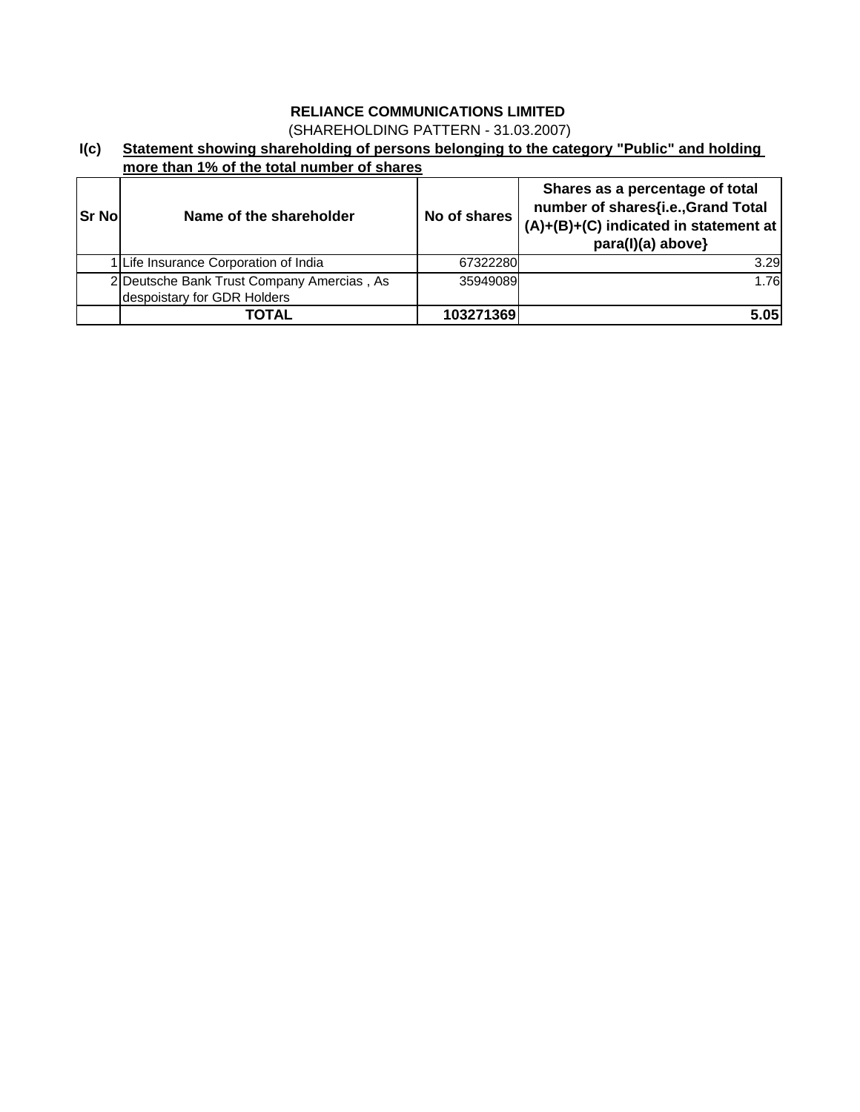(SHAREHOLDING PATTERN - 31.03.2007)

### **I(c) Statement showing shareholding of persons belonging to the category "Public" and holding more than 1% of the total number of shares**

| <b>Sr No</b> | Name of the shareholder                                                   | No of shares | Shares as a percentage of total<br>number of shares{i.e., Grand Total<br>$(A)+(B)+(C)$ indicated in statement at<br>para(l)(a) above} |
|--------------|---------------------------------------------------------------------------|--------------|---------------------------------------------------------------------------------------------------------------------------------------|
|              | 1 Life Insurance Corporation of India                                     | 67322280     | 3.29                                                                                                                                  |
|              | 2 Deutsche Bank Trust Company Amercias, As<br>despoistary for GDR Holders | 35949089     | 1.76                                                                                                                                  |
|              | TOTAL                                                                     | 103271369    | 5.05                                                                                                                                  |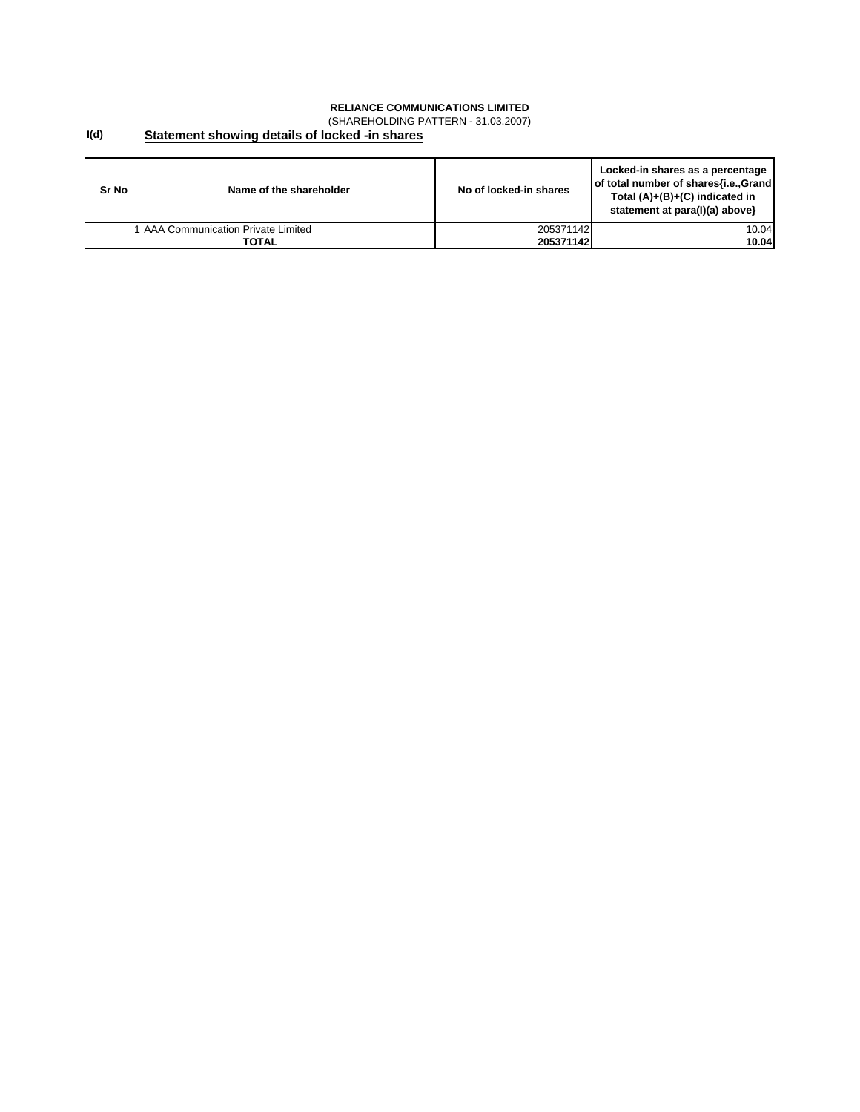(SHAREHOLDING PATTERN - 31.03.2007)

#### **I(d) Statement showing details of locked -in shares**

| Sr No | Name of the shareholder             | No of locked-in shares | Locked-in shares as a percentage<br>of total number of shares{i.e., Grand<br>Total $(A)+(B)+(C)$ indicated in<br>statement at para(I)(a) above} |
|-------|-------------------------------------|------------------------|-------------------------------------------------------------------------------------------------------------------------------------------------|
|       | 1 AAA Communication Private Limited | 205371142              | 10.04                                                                                                                                           |
|       | TOTAL                               | 205371142              | 10.04                                                                                                                                           |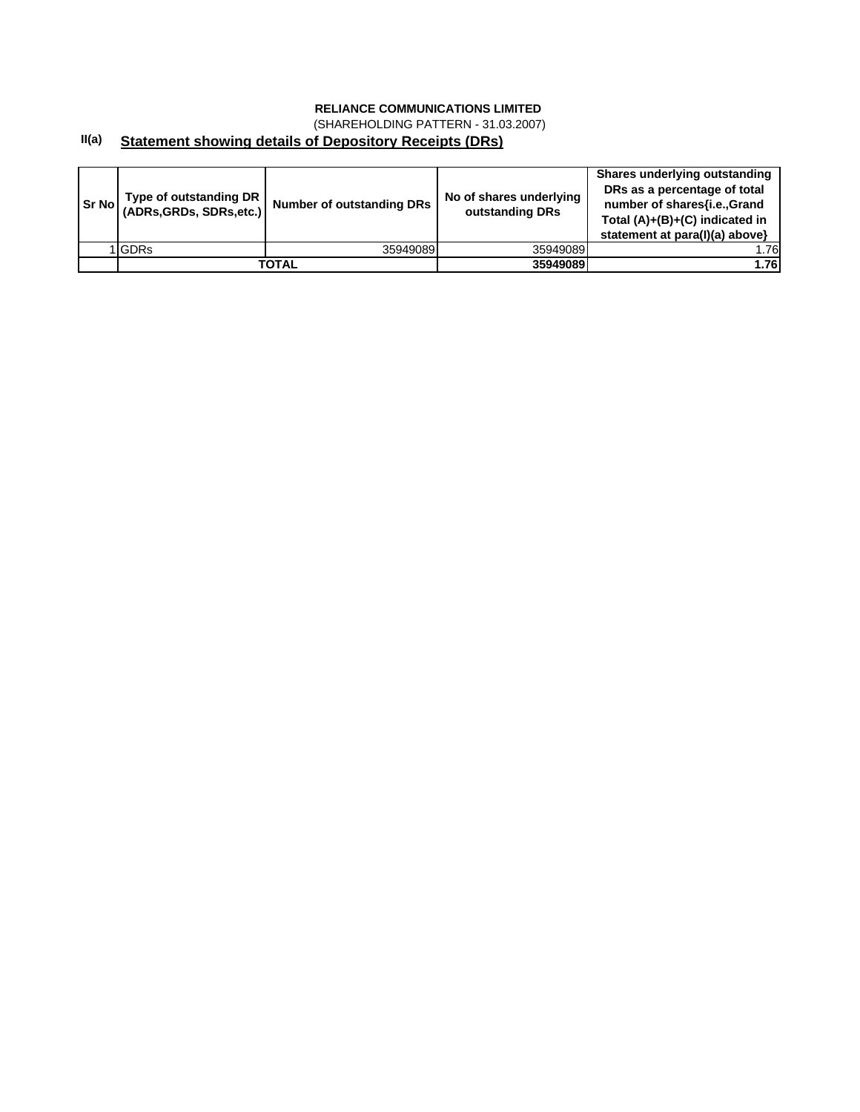(SHAREHOLDING PATTERN - 31.03.2007)

### **II(a) Statement showing details of Depository Receipts (DRs)**

| <b>Sr</b> Nol | Type of outstanding DR<br>(ADRs, GRDs, SDRs, etc.) | <b>Number of outstanding DRs</b> | No of shares underlying<br>outstanding DRs | Shares underlying outstanding<br>DRs as a percentage of total<br>number of shares{i.e.,Grand<br>Total (A)+(B)+(C) indicated in<br>statement at para(I)(a) above} |
|---------------|----------------------------------------------------|----------------------------------|--------------------------------------------|------------------------------------------------------------------------------------------------------------------------------------------------------------------|
|               | <b>I</b> GDRs                                      | 35949089                         | 35949089                                   | .76                                                                                                                                                              |
|               |                                                    | TOTAL                            | 35949089                                   | 1.76                                                                                                                                                             |